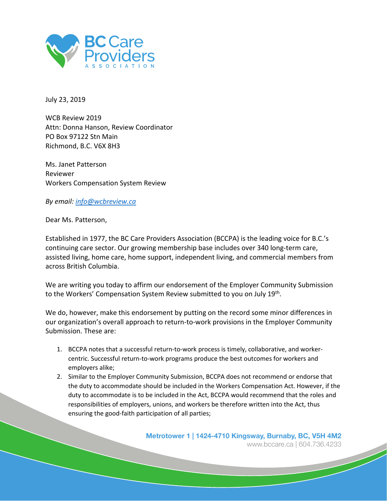

July 23, 2019

WCB Review 2019 Attn: Donna Hanson, Review Coordinator PO Box 97122 Stn Main Richmond, B.C. V6X 8H3

Ms. Janet Patterson Reviewer Workers Compensation System Review

*By email: info@wcbreview.ca*

Dear Ms. Patterson,

Established in 1977, the BC Care Providers Association (BCCPA) is the leading voice for B.C.'s continuing care sector. Our growing membership base includes over 340 long-term care, assisted living, home care, home support, independent living, and commercial members from across British Columbia.

We are writing you today to affirm our endorsement of the Employer Community Submission to the Workers' Compensation System Review submitted to you on July 19th.

We do, however, make this endorsement by putting on the record some minor differences in our organization's overall approach to return-to-work provisions in the Employer Community Submission. These are:

- 1. BCCPA notes that a successful return-to-work process is timely, collaborative, and workercentric. Successful return-to-work programs produce the best outcomes for workers and employers alike;
- 2. Similar to the Employer Community Submission, BCCPA does not recommend or endorse that the duty to accommodate should be included in the Workers Compensation Act. However, if the duty to accommodate is to be included in the Act, BCCPA would recommend that the roles and responsibilities of employers, unions, and workers be therefore written into the Act, thus ensuring the good-faith participation of all parties;

**Metrotower 1 | 1424-4710 Kingsway, Burnaby, BC, V5H 4M2**  www.bccare.ca | 604.736.4233